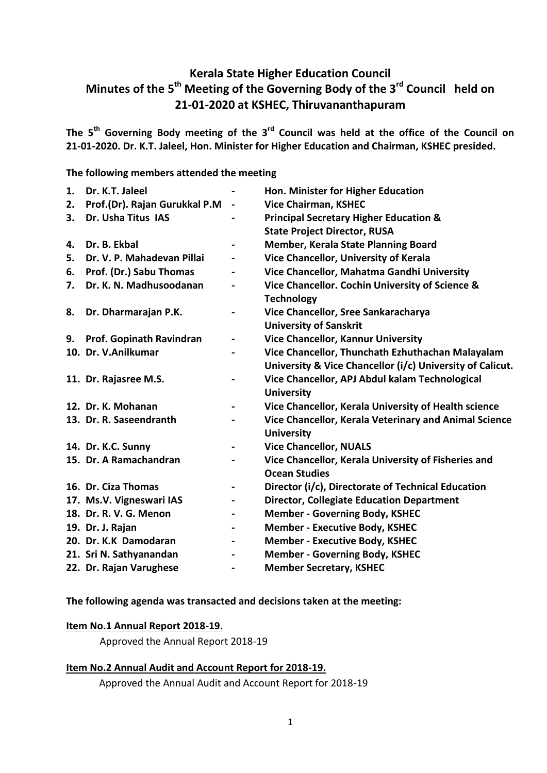# **Kerala State Higher Education Council Minutes of the 5 th Meeting of the Governing Body of the 3rd Council held on 21-01-2020 at KSHEC, Thiruvananthapuram**

**The 5 th Governing Body meeting of the 3rd Council was held at the office of the Council on 21-01-2020. Dr. K.T. Jaleel, Hon. Minister for Higher Education and Chairman, KSHEC presided.** 

**The following members attended the meeting**

| 1. | Dr. K.T. Jaleel               |                              | Hon. Minister for Higher Education                        |
|----|-------------------------------|------------------------------|-----------------------------------------------------------|
| 2. | Prof.(Dr). Rajan Gurukkal P.M | $\blacksquare$               | <b>Vice Chairman, KSHEC</b>                               |
| 3. | Dr. Usha Titus IAS            |                              | <b>Principal Secretary Higher Education &amp;</b>         |
|    |                               |                              | <b>State Project Director, RUSA</b>                       |
| 4. | Dr. B. Ekbal                  |                              | <b>Member, Kerala State Planning Board</b>                |
| 5. | Dr. V. P. Mahadevan Pillai    |                              | Vice Chancellor, University of Kerala                     |
| 6. | Prof. (Dr.) Sabu Thomas       |                              | Vice Chancellor, Mahatma Gandhi University                |
| 7. | Dr. K. N. Madhusoodanan       | $\qquad \qquad \blacksquare$ | Vice Chancellor. Cochin University of Science &           |
|    |                               |                              | <b>Technology</b>                                         |
| 8. | Dr. Dharmarajan P.K.          | -                            | Vice Chancellor, Sree Sankaracharya                       |
|    |                               |                              | <b>University of Sanskrit</b>                             |
| 9. | Prof. Gopinath Ravindran      | $\blacksquare$               | <b>Vice Chancellor, Kannur University</b>                 |
|    | 10. Dr. V.Anilkumar           |                              | Vice Chancellor, Thunchath Ezhuthachan Malayalam          |
|    |                               |                              | University & Vice Chancellor (i/c) University of Calicut. |
|    | 11. Dr. Rajasree M.S.         | $\qquad \qquad \blacksquare$ | Vice Chancellor, APJ Abdul kalam Technological            |
|    |                               |                              | <b>University</b>                                         |
|    | 12. Dr. K. Mohanan            | $\overline{\phantom{0}}$     | Vice Chancellor, Kerala University of Health science      |
|    | 13. Dr. R. Saseendranth       |                              | Vice Chancellor, Kerala Veterinary and Animal Science     |
|    |                               |                              | <b>University</b>                                         |
|    | 14. Dr. K.C. Sunny            | $\blacksquare$               | <b>Vice Chancellor, NUALS</b>                             |
|    | 15. Dr. A Ramachandran        |                              | Vice Chancellor, Kerala University of Fisheries and       |
|    |                               |                              | <b>Ocean Studies</b>                                      |
|    | 16. Dr. Ciza Thomas           |                              | Director (i/c), Directorate of Technical Education        |
|    | 17. Ms.V. Vigneswari IAS      | $\overline{\phantom{0}}$     | <b>Director, Collegiate Education Department</b>          |
|    | 18. Dr. R. V. G. Menon        |                              | <b>Member - Governing Body, KSHEC</b>                     |
|    | 19. Dr. J. Rajan              | $\qquad \qquad \blacksquare$ | <b>Member - Executive Body, KSHEC</b>                     |
|    | 20. Dr. K.K Damodaran         | $\overline{\phantom{0}}$     | <b>Member - Executive Body, KSHEC</b>                     |
|    | 21. Sri N. Sathyanandan       | -                            | <b>Member - Governing Body, KSHEC</b>                     |
|    | 22. Dr. Rajan Varughese       | $\blacksquare$               | <b>Member Secretary, KSHEC</b>                            |

**The following agenda was transacted and decisions taken at the meeting:**

### **Item No.1 Annual Report 2018-19.**

Approved the Annual Report 2018-19

### **Item No.2 Annual Audit and Account Report for 2018-19.**

Approved the Annual Audit and Account Report for 2018-19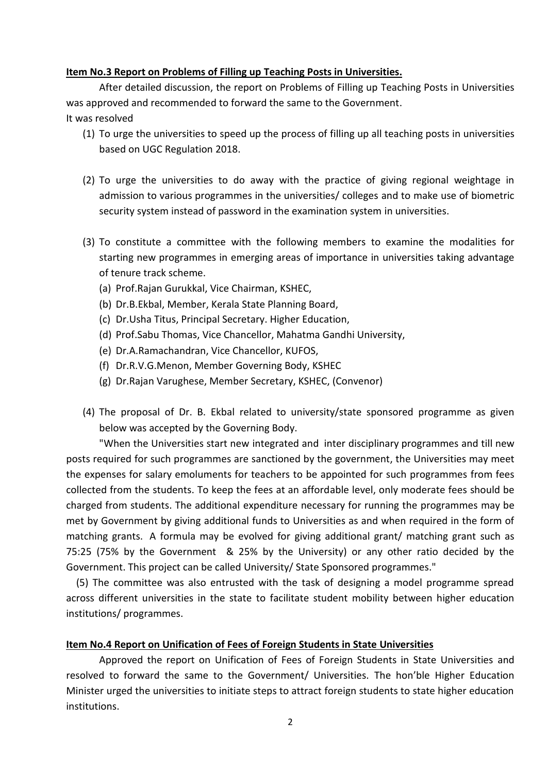#### **Item No.3 Report on Problems of Filling up Teaching Posts in Universities.**

After detailed discussion, the report on Problems of Filling up Teaching Posts in Universities was approved and recommended to forward the same to the Government. It was resolved

- (1) To urge the universities to speed up the process of filling up all teaching posts in universities based on UGC Regulation 2018.
- (2) To urge the universities to do away with the practice of giving regional weightage in admission to various programmes in the universities/ colleges and to make use of biometric security system instead of password in the examination system in universities.
- (3) To constitute a committee with the following members to examine the modalities for starting new programmes in emerging areas of importance in universities taking advantage of tenure track scheme.
	- (a) Prof.Rajan Gurukkal, Vice Chairman, KSHEC,
	- (b) Dr.B.Ekbal, Member, Kerala State Planning Board,
	- (c) Dr.Usha Titus, Principal Secretary. Higher Education,
	- (d) Prof.Sabu Thomas, Vice Chancellor, Mahatma Gandhi University,
	- (e) Dr.A.Ramachandran, Vice Chancellor, KUFOS,
	- (f) Dr.R.V.G.Menon, Member Governing Body, KSHEC
	- (g) Dr.Rajan Varughese, Member Secretary, KSHEC, (Convenor)
- (4) The proposal of Dr. B. Ekbal related to university/state sponsored programme as given below was accepted by the Governing Body.

"When the Universities start new integrated and inter disciplinary programmes and till new posts required for such programmes are sanctioned by the government, the Universities may meet the expenses for salary emoluments for teachers to be appointed for such programmes from fees collected from the students. To keep the fees at an affordable level, only moderate fees should be charged from students. The additional expenditure necessary for running the programmes may be met by Government by giving additional funds to Universities as and when required in the form of matching grants. A formula may be evolved for giving additional grant/ matching grant such as 75:25 (75% by the Government & 25% by the University) or any other ratio decided by the Government. This project can be called University/ State Sponsored programmes."

 (5) The committee was also entrusted with the task of designing a model programme spread across different universities in the state to facilitate student mobility between higher education institutions/ programmes.

### **Item No.4 Report on Unification of Fees of Foreign Students in State Universities**

Approved the report on Unification of Fees of Foreign Students in State Universities and resolved to forward the same to the Government/ Universities. The hon'ble Higher Education Minister urged the universities to initiate steps to attract foreign students to state higher education institutions.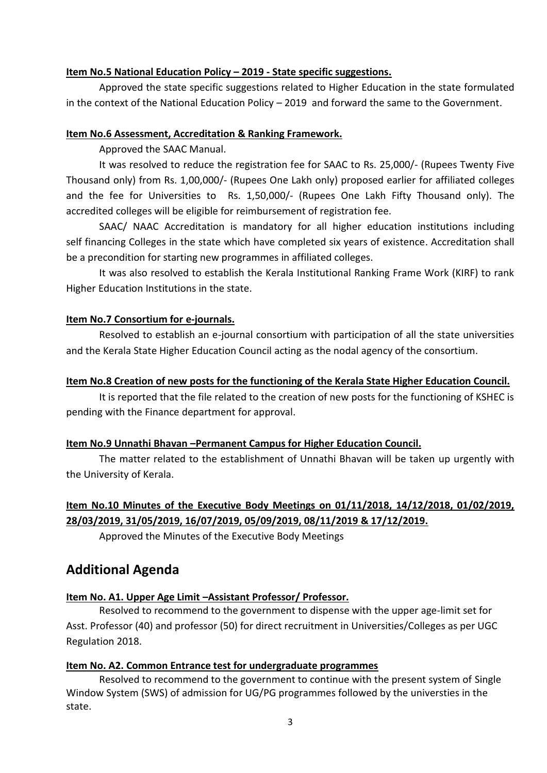## **Item No.5 National Education Policy – 2019 - State specific suggestions.**

Approved the state specific suggestions related to Higher Education in the state formulated in the context of the National Education Policy – 2019 and forward the same to the Government.

## **Item No.6 Assessment, Accreditation & Ranking Framework.**

Approved the SAAC Manual.

It was resolved to reduce the registration fee for SAAC to Rs. 25,000/- (Rupees Twenty Five Thousand only) from Rs. 1,00,000/- (Rupees One Lakh only) proposed earlier for affiliated colleges and the fee for Universities to Rs. 1,50,000/- (Rupees One Lakh Fifty Thousand only). The accredited colleges will be eligible for reimbursement of registration fee.

SAAC/ NAAC Accreditation is mandatory for all higher education institutions including self financing Colleges in the state which have completed six years of existence. Accreditation shall be a precondition for starting new programmes in affiliated colleges.

It was also resolved to establish the Kerala Institutional Ranking Frame Work (KIRF) to rank Higher Education Institutions in the state.

## **Item No.7 Consortium for e-journals.**

Resolved to establish an e-journal consortium with participation of all the state universities and the Kerala State Higher Education Council acting as the nodal agency of the consortium.

## **Item No.8 Creation of new posts for the functioning of the Kerala State Higher Education Council.**

It is reported that the file related to the creation of new posts for the functioning of KSHEC is pending with the Finance department for approval.

## **Item No.9 Unnathi Bhavan –Permanent Campus for Higher Education Council.**

The matter related to the establishment of Unnathi Bhavan will be taken up urgently with the University of Kerala.

# **Item No.10 Minutes of the Executive Body Meetings on 01/11/2018, 14/12/2018, 01/02/2019, 28/03/2019, 31/05/2019, 16/07/2019, 05/09/2019, 08/11/2019 & 17/12/2019.**

Approved the Minutes of the Executive Body Meetings

# **Additional Agenda**

## **Item No. A1. Upper Age Limit –Assistant Professor/ Professor.**

Resolved to recommend to the government to dispense with the upper age-limit set for Asst. Professor (40) and professor (50) for direct recruitment in Universities/Colleges as per UGC Regulation 2018.

### **Item No. A2. Common Entrance test for undergraduate programmes**

Resolved to recommend to the government to continue with the present system of Single Window System (SWS) of admission for UG/PG programmes followed by the universties in the state.